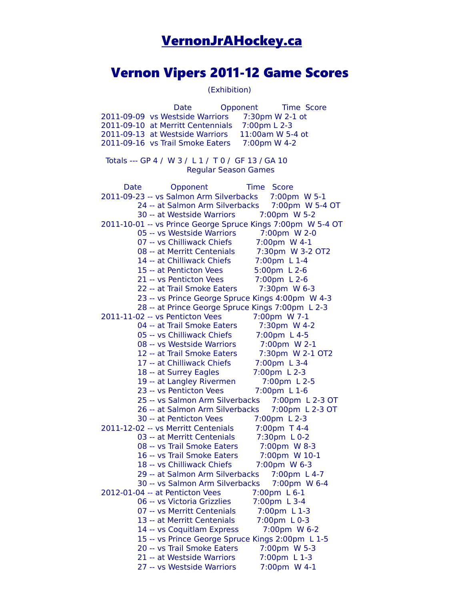# [VernonJrAHockey.ca](http://VernonJrAHockey.ca/)

# Vernon Vipers 2011-12 Game Scores

(Exhibition)

Date Opponent Time Score 2011-09-09 vs Westside Warriors 7:30pm W 2-1 ot 2011-09-10 at Merritt Centennials 7:00pm L 2-3 2011-09-13 at Westside Warriors 11:00am W 5-4 ot 2011-09-16 vs Trail Smoke Eaters 7:00pm W 4-2 Totals --- GP 4 / W 3 / L 1 / T 0 / GF 13 / GA 10 Regular Season Games Date Opponent Time Score 2011-09-23 -- vs Salmon Arm Silverbacks 7:00pm W 5-1 24 -- at Salmon Arm Silverbacks 7:00pm W 5-4 OT 30 -- at Westside Warriors 7:00pm W 5-2 2011-10-01 -- vs Prince George Spruce Kings 7:00pm W 5-4 OT 05 -- vs Westside Warriors 7:00pm W 2-0 07 -- vs Chilliwack Chiefs 7:00pm W 4-1 08 -- at Merritt Centenials 7:30pm W 3-2 OT2 14 -- at Chilliwack Chiefs 7:00pm L 1-4 15 -- at Penticton Vees 5:00pm L 2-6 21 -- vs Penticton Vees 7:00pm L 2-6 22 -- at Trail Smoke Eaters 7:30pm W 6-3 23 -- vs Prince George Spruce Kings 4:00pm W 4-3 28 -- at Prince George Spruce Kings 7:00pm L 2-3 2011-11-02 -- vs Penticton Vees 7:00pm W 7-1 04 -- at Trail Smoke Eaters 7:30pm W 4-2 05 -- vs Chilliwack Chiefs 7:00pm L 4-5 08 -- vs Westside Warriors 7:00pm W 2-1 12 -- at Trail Smoke Eaters 7:30pm W 2-1 OT2 17 -- at Chilliwack Chiefs 7:00pm L 3-4 18 -- at Surrey Eagles 7:00pm L 2-3 19 -- at Langley Rivermen 7:00pm L 2-5 23 -- vs Penticton Vees 7:00pm L 1-6 25 -- vs Salmon Arm Silverbacks 7:00pm L 2-3 OT 26 -- at Salmon Arm Silverbacks 7:00pm L 2-3 OT 30 -- at Penticton Vees 7:00pm L 2-3 2011-12-02 -- vs Merritt Centenials 7:00pm T 4-4 03 -- at Merritt Centenials 7:30pm L 0-2 08 -- vs Trail Smoke Eaters 7:00pm W 8-3 16 -- vs Trail Smoke Eaters 7:00pm W 10-1 18 -- vs Chilliwack Chiefs 7:00pm W 6-3 29 -- at Salmon Arm Silverbacks 7:00pm L 4-7 30 -- vs Salmon Arm Silverbacks 7:00pm W 6-4 2012-01-04 -- at Penticton Vees 7:00pm L 6-1 06 -- vs Victoria Grizzlies 7:00pm L 3-4 07 -- vs Merritt Centenials 7:00pm L 1-3 13 -- at Merritt Centenials 7:00pm L 0-3 14 -- vs Coquitlam Express 7:00pm W 6-2 15 -- vs Prince George Spruce Kings 2:00pm L 1-5 20 -- vs Trail Smoke Eaters 7:00pm W 5-3 21 -- at Westside Warriors 7:00pm L 1-3 27 -- vs Westside Warriors 7:00pm W 4-1